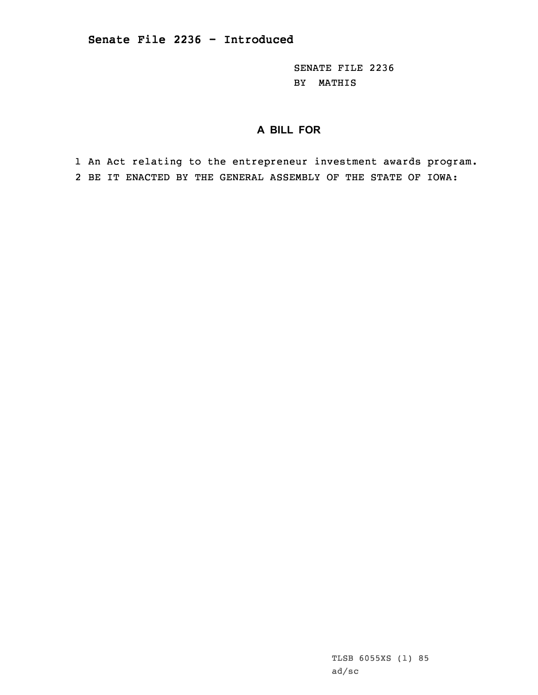SENATE FILE 2236 BY MATHIS

## **A BILL FOR**

1 An Act relating to the entrepreneur investment awards program. 2 BE IT ENACTED BY THE GENERAL ASSEMBLY OF THE STATE OF IOWA: